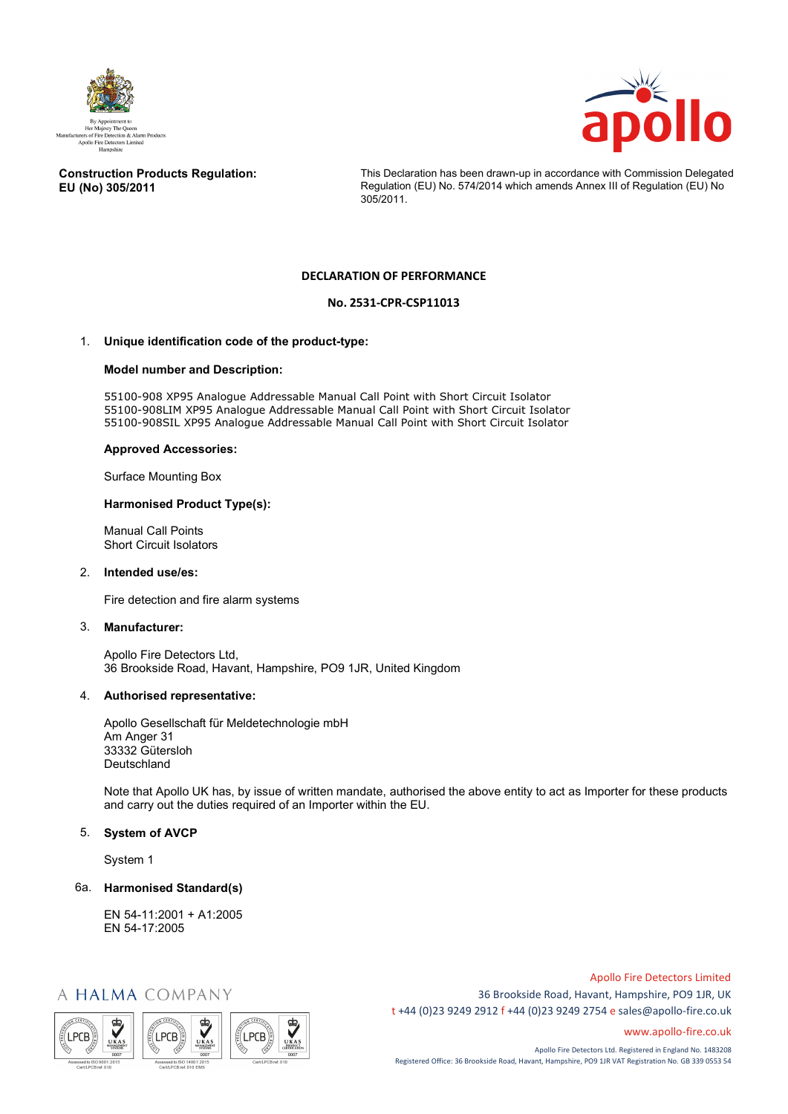



#### **Construction Products Regulation: EU (No) 305/2011**

This Declaration has been drawn-up in accordance with Commission Delegated Regulation (EU) No. 574/2014 which amends Annex III of Regulation (EU) No 305/2011.

## **DECLARATION OF PERFORMANCE**

# **No. 2531-CPR-CSP11013**

### 1. **Unique identification code of the product-type:**

#### **Model number and Description:**

55100-908 XP95 Analogue Addressable Manual Call Point with Short Circuit Isolator 55100-908LIM XP95 Analogue Addressable Manual Call Point with Short Circuit Isolator 55100-908SIL XP95 Analogue Addressable Manual Call Point with Short Circuit Isolator

#### **Approved Accessories:**

Surface Mounting Box

#### **Harmonised Product Type(s):**

Manual Call Points Short Circuit Isolators

#### 2. **Intended use/es:**

Fire detection and fire alarm systems

#### 3. **Manufacturer:**

Apollo Fire Detectors Ltd, 36 Brookside Road, Havant, Hampshire, PO9 1JR, United Kingdom

#### 4. **Authorised representative:**

Apollo Gesellschaft für Meldetechnologie mbH Am Anger 31 33332 Gütersloh Deutschland

Note that Apollo UK has, by issue of written mandate, authorised the above entity to act as Importer for these products and carry out the duties required of an Importer within the EU.

#### 5. **System of AVCP**

System 1

#### 6a. **Harmonised Standard(s)**

EN 54-11:2001 + A1:2005 EN 54-17:2005

# A HALMA COMPANY



Apollo Fire Detectors Limited 36 Brookside Road, Havant, Hampshire, PO9 1JR, UK t +44 (0)23 9249 2912 f +44 (0)23 9249 2754 [e sales@apollo-fire.co.uk](mailto:sales@apollo-fire.co.uk)

[www.apollo-fire.co.uk](http://www.apollo-fire.co.uk/)

Apollo Fire Detectors Ltd. Registered in England No. 1483208 Registered Office: 36 Brookside Road, Havant, Hampshire, PO9 1JR VAT Registration No. GB 339 0553 54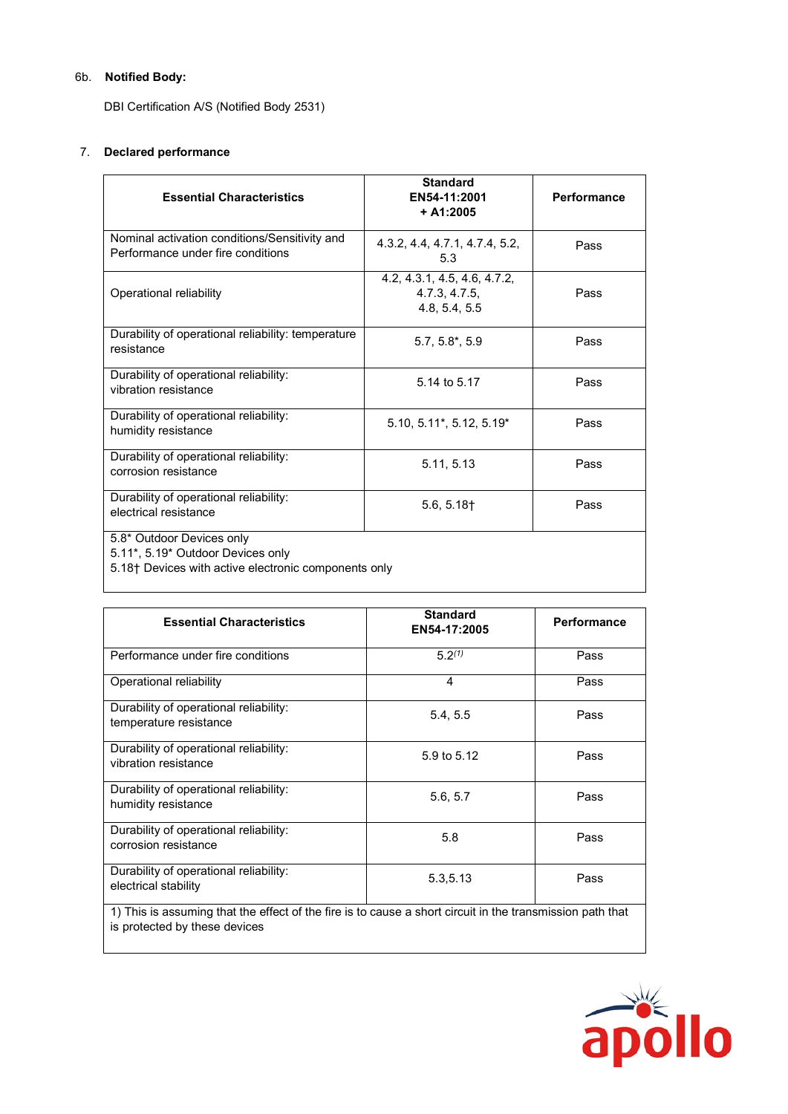# 6b. **Notified Body:**

DBI Certification A/S (Notified Body 2531)

# 7. **Declared performance**

| <b>Essential Characteristics</b>                                                                                       | <b>Standard</b><br>EN54-11:2001<br>$+ A1:2005$                 | Performance |  |
|------------------------------------------------------------------------------------------------------------------------|----------------------------------------------------------------|-------------|--|
| Nominal activation conditions/Sensitivity and<br>Performance under fire conditions                                     | 4.3.2, 4.4, 4.7.1, 4.7.4, 5.2,<br>5.3                          | Pass        |  |
| Operational reliability                                                                                                | 4.2, 4.3.1, 4.5, 4.6, 4.7.2,<br>4.7.3, 4.7.5,<br>4.8, 5.4, 5.5 | Pass        |  |
| Durability of operational reliability: temperature<br>resistance                                                       | $5.7, 5.8^*$ , $5.9$                                           | Pass        |  |
| Durability of operational reliability:<br>vibration resistance                                                         | 5.14 to 5.17                                                   | Pass        |  |
| Durability of operational reliability:<br>humidity resistance                                                          | $5.10, 5.11$ <sup>*</sup> , $5.12, 5.19$ <sup>*</sup>          | Pass        |  |
| Durability of operational reliability:<br>corrosion resistance                                                         | 5.11, 5.13                                                     | Pass        |  |
| Durability of operational reliability:<br>electrical resistance                                                        | 5.6, 5.18                                                      | Pass        |  |
| 5.8* Outdoor Devices only<br>5.11*, 5.19* Outdoor Devices only<br>5.18† Devices with active electronic components only |                                                                |             |  |

| <b>Essential Characteristics</b>                                                                                                           | <b>Standard</b><br>EN54-17:2005 | Performance |  |
|--------------------------------------------------------------------------------------------------------------------------------------------|---------------------------------|-------------|--|
| Performance under fire conditions                                                                                                          | 5.2 <sup>(1)</sup>              | Pass        |  |
| Operational reliability                                                                                                                    | 4                               | Pass        |  |
| Durability of operational reliability:<br>temperature resistance                                                                           | 5.4, 5.5                        | Pass        |  |
| Durability of operational reliability:<br>vibration resistance                                                                             | 5.9 to 5.12                     | Pass        |  |
| Durability of operational reliability:<br>humidity resistance                                                                              | 5.6, 5.7                        | Pass        |  |
| Durability of operational reliability:<br>corrosion resistance                                                                             | 5.8                             | Pass        |  |
| Durability of operational reliability:<br>electrical stability                                                                             | 5.3,5.13                        | Pass        |  |
| 1) This is assuming that the effect of the fire is to cause a short circuit in the transmission path that<br>is protected by these devices |                                 |             |  |